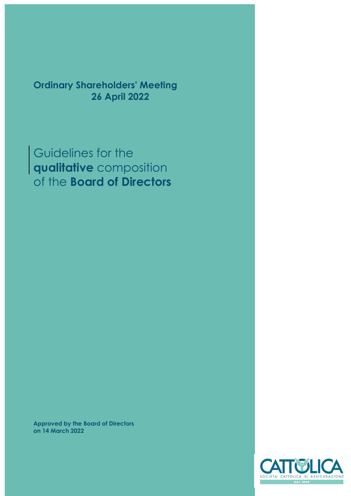Ordinary Shareholders' Meeting 26 April 2022

Guidelines for the qualitative composition of the Board of Directors

Approved by the Board of Directors on 14 March 2022

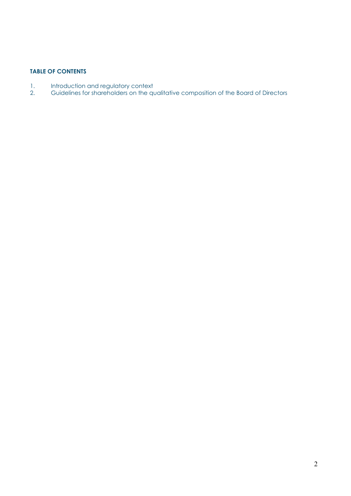# TABLE OF CONTENTS

- 1. Introduction and regulatory context
- 2. Guidelines for shareholders on the qualitative composition of the Board of Directors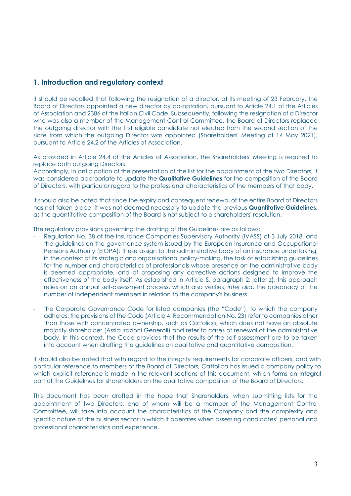## 1. Introduction and regulatory context

It should be recalled that following the resignation of a director, at its meeting of 23 February, the Board of Directors appointed a new director by co-optation, pursuant to Article 24.1 of the Articles of Association and 2386 of the Italian Civil Code. Subsequently, following the resignation of a Director who was also a member of the Management Control Committee, the Board of Directors replaced the outgoing director with the first eligible candidate not elected from the second section of the slate from which the outgoing Director was appointed (Shareholders' Meeting of 14 May 2021), pursuant to Article 24.2 of the Articles of Association.

As provided in Article 24.4 of the Articles of Association, the Shareholders' Meeting is required to replace both outgoing Directors.

Accordingly, in anticipation of the presentation of the list for the appointment of the two Directors, it was considered appropriate to update the **Qualitative Guidelines** for the composition of the Board of Directors, with particular regard to the professional characteristics of the members of that body.

It should also be noted that since the expiry and consequent renewal of the entire Board of Directors has not taken place, it was not deemed necessary to update the previous **Quantitative Guidelines**, as the quantitative composition of the Board is not subject to a shareholders' resolution.

The regulatory provisions governing the drafting of the Guidelines are as follows:

- Regulation No. 38 of the Insurance Companies Supervisory Authority (IVASS) of 3 July 2018, and the guidelines on the governance system issued by the European Insurance and Occupational Pensions Authority (EIOPA): these assign to the administrative body of an insurance undertaking, in the context of its strategic and organisational policy-making, the task of establishing guidelines for the number and characteristics of professionals whose presence on the administrative body is deemed appropriate, and of proposing any corrective actions designed to improve the effectiveness of the body itself. As established in Article 5, paragraph 2, letter z), this approach relies on an annual self-assessment process, which also verifies, inter alia, the adequacy of the number of independent members in relation to the company's business.
- the Corporate Governance Code for listed companies (the "Code"), to which the company adheres: the provisions of the Code (Article 4, Recommendation No. 23) refer to companies other than those with concentrated ownership, such as Cattolica, which does not have an absolute majority shareholder (Assicurazioni Generali) and refer to cases of renewal of the administrative body. In this context, the Code provides that the results of the self-assessment are to be taken into account when drafting the guidelines on qualitative and quantitative composition.

It should also be noted that with regard to the integrity requirements for corporate officers, and with particular reference to members of the Board of Directors, Cattolica has issued a company policy to which explicit reference is made in the relevant sections of this document, which forms an integral part of the Guidelines for shareholders on the qualitative composition of the Board of Directors.

This document has been drafted in the hope that Shareholders, when submitting lists for the appointment of two Directors, one of whom will be a member of the Management Control Committee, will take into account the characteristics of the Company and the complexity and specific nature of the business sector in which it operates when assessing candidates' personal and professional characteristics and experience.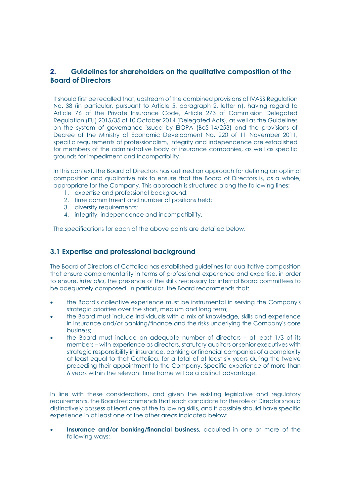# 2. Guidelines for shareholders on the qualitative composition of the Board of Directors

It should first be recalled that, upstream of the combined provisions of IVASS Regulation No. 38 (in particular, pursuant to Article 5, paragraph 2, letter n), having regard to Article 76 of the Private Insurance Code, Article 273 of Commission Delegated Regulation (EU) 2015/35 of 10 October 2014 (Delegated Acts), as well as the Guidelines on the system of governance issued by EIOPA (BoS-14/253) and the provisions of Decree of the Ministry of Economic Development No. 220 of 11 November 2011, specific requirements of professionalism, integrity and independence are established for members of the administrative body of insurance companies, as well as specific grounds for impediment and incompatibility.

In this context, the Board of Directors has outlined an approach for defining an optimal composition and qualitative mix to ensure that the Board of Directors is, as a whole, appropriate for the Company. This approach is structured along the following lines:

- 1. expertise and professional background;
- 2. time commitment and number of positions held;
- 3. diversity requirements;
- 4. integrity, independence and incompatibility.

The specifications for each of the above points are detailed below.

### 3.1 Expertise and professional background

The Board of Directors of Cattolica has established guidelines for qualitative composition that ensure complementarity in terms of professional experience and expertise, in order to ensure, inter alia, the presence of the skills necessary for internal Board committees to be adequately composed. In particular, the Board recommends that:

- the Board's collective experience must be instrumental in serving the Company's strategic priorities over the short, medium and long term;
- the Board must include individuals with a mix of knowledge, skills and experience in insurance and/or banking/finance and the risks underlying the Company's core business;
- the Board must include an adequate number of directors at least 1/3 of its members – with experience as directors, statutory auditors or senior executives with strategic responsibility in insurance, banking or financial companies of a complexity at least equal to that Cattolica, for a total of at least six years during the twelve preceding their appointment to the Company. Specific experience of more than 6 years within the relevant time frame will be a distinct advantage.

In line with these considerations, and given the existing legislative and regulatory requirements, the Board recommends that each candidate for the role of Director should distinctively possess at least one of the following skills, and if possible should have specific experience in at least one of the other areas indicated below:

 Insurance and/or banking/financial business, acquired in one or more of the following ways: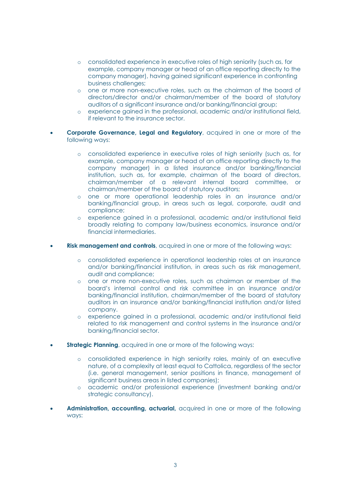- o consolidated experience in executive roles of high seniority (such as, for example, company manager or head of an office reporting directly to the company manager), having gained significant experience in confronting business challenges;
- o one or more non-executive roles, such as the chairman of the board of directors/director and/or chairman/member of the board of statutory auditors of a significant insurance and/or banking/financial group;
- o experience gained in the professional, academic and/or institutional field, if relevant to the insurance sector.
- Corporate Governance, Legal and Regulatory, acquired in one or more of the following ways:
	- o consolidated experience in executive roles of high seniority (such as, for example, company manager or head of an office reporting directly to the company manager) in a listed insurance and/or banking/financial institution, such as, for example, chairman of the board of directors, chairman/member of a relevant internal board committee, or chairman/member of the board of statutory auditors;
	- o one or more operational leadership roles in an insurance and/or banking/financial group, in areas such as legal, corporate, audit and compliance;
	- o experience gained in a professional, academic and/or institutional field broadly relating to company law/business economics, insurance and/or financial intermediaries.
- Risk management and controls, acquired in one or more of the following ways:
	- o consolidated experience in operational leadership roles at an insurance and/or banking/financial institution, in areas such as risk management, audit and compliance;
	- o one or more non-executive roles, such as chairman or member of the board's internal control and risk committee in an insurance and/or banking/financial institution, chairman/member of the board of statutory auditors in an insurance and/or banking/financial institution and/or listed company.
	- o experience gained in a professional, academic and/or institutional field related to risk management and control systems in the insurance and/or banking/financial sector.
- **Strategic Planning**, acquired in one or more of the following ways:
	- o consolidated experience in high seniority roles, mainly of an executive nature, of a complexity at least equal to Cattolica, regardless of the sector (i.e. general management, senior positions in finance, management of significant business areas in listed companies);
	- o academic and/or professional experience (investment banking and/or strategic consultancy).
- Administration, accounting, actuarial, acquired in one or more of the following ways: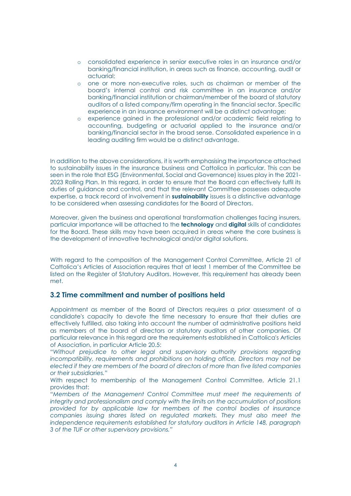- o consolidated experience in senior executive roles in an insurance and/or banking/financial institution, in areas such as finance, accounting, audit or actuarial;
- o one or more non-executive roles, such as chairman or member of the board's internal control and risk committee in an insurance and/or banking/financial institution or chairman/member of the board of statutory auditors of a listed company/firm operating in the financial sector. Specific experience in an insurance environment will be a distinct advantage;
- o experience gained in the professional and/or academic field relating to accounting, budgeting or actuarial applied to the insurance and/or banking/financial sector in the broad sense. Consolidated experience in a leading auditing firm would be a distinct advantage.

In addition to the above considerations, it is worth emphasising the importance attached to sustainability issues in the insurance business and Cattolica in particular. This can be seen in the role that ESG (Environmental, Social and Governance) issues play in the 2021- 2023 Rolling Plan. In this regard, in order to ensure that the Board can effectively fulfil its duties of guidance and control, and that the relevant Committee possesses adequate expertise, a track record of involvement in **sustainability** issues is a distinctive advantage to be considered when assessing candidates for the Board of Directors.

Moreover, given the business and operational transformation challenges facing insurers, particular importance will be attached to the **technology** and **digital** skills of candidates for the Board. These skills may have been acquired in areas where the core business is the development of innovative technological and/or digital solutions.

With regard to the composition of the Management Control Committee, Article 21 of Cattolica's Articles of Association requires that at least 1 member of the Committee be listed on the Register of Statutory Auditors. However, this requirement has already been met.

### 3.2 Time commitment and number of positions held

Appointment as member of the Board of Directors requires a prior assessment of a candidate's capacity to devote the time necessary to ensure that their duties are effectively fulfilled, also taking into account the number of administrative positions held as members of the board of directors or statutory auditors of other companies. Of particular relevance in this regard are the requirements established in Cattolica's Articles of Association, in particular Article 20.5:

"Without prejudice to other legal and supervisory authority provisions regarding incompatibility, requirements and prohibitions on holding office, Directors may not be elected if they are members of the board of directors of more than five listed companies or their subsidiaries."

With respect to membership of the Management Control Committee, Article 21.1 provides that:

"Members of the Management Control Committee must meet the requirements of integrity and professionalism and comply with the limits on the accumulation of positions provided for by applicable law for members of the control bodies of insurance companies issuing shares listed on regulated markets. They must also meet the independence requirements established for statutory auditors in Article 148, paragraph 3 of the TUF or other supervisory provisions."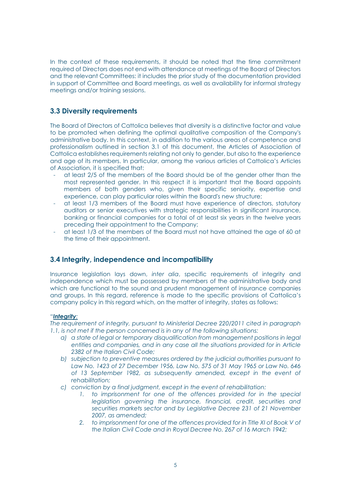In the context of these requirements, it should be noted that the time commitment required of Directors does not end with attendance at meetings of the Board of Directors and the relevant Committees: it includes the prior study of the documentation provided in support of Committee and Board meetings, as well as availability for informal strategy meetings and/or training sessions.

## 3.3 Diversity requirements

The Board of Directors of Cattolica believes that diversity is a distinctive factor and value to be promoted when defining the optimal qualitative composition of the Company's administrative body. In this context, in addition to the various areas of competence and professionalism outlined in section 3.1 of this document, the Articles of Association of Cattolica establishes requirements relating not only to gender, but also to the experience and age of its members. In particular, among the various articles of Cattolica's Articles of Association, it is specified that:

- at least 2/5 of the members of the Board should be of the gender other than the most represented gender. In this respect it is important that the Board appoints members of both genders who, given their specific seniority, expertise and experience, can play particular roles within the Board's new structure;
- at least 1/3 members of the Board must have experience of directors, statutory auditors or senior executives with strategic responsibilities in significant insurance, banking or financial companies for a total of at least six years in the twelve years preceding their appointment to the Company;
- at least 1/3 of the members of the Board must not have attained the age of 60 at the time of their appointment.

### 3.4 Integrity, independence and incompatibility

Insurance legislation lays down, inter alia, specific requirements of integrity and independence which must be possessed by members of the administrative body and which are functional to the sound and prudent management of insurance companies and groups. In this regard, reference is made to the specific provisions of Cattolica's company policy in this regard which, on the matter of integrity, states as follows:

#### "Integrity:

The requirement of integrity, pursuant to Ministerial Decree 220/2011 cited in paragraph 1.1, is not met if the person concerned is in any of the following situations:

- a) a state of legal or temporary disqualification from management positions in legal entities and companies, and in any case all the situations provided for in Article 2382 of the Italian Civil Code:
- b) subjection to preventive measures ordered by the judicial authorities pursuant to Law No. 1423 of 27 December 1956, Law No. 575 of 31 May 1965 or Law No. 646 of 13 September 1982, as subsequently amended, except in the event of rehabilitation;
- c) conviction by a final judgment, except in the event of rehabilitation:
	- 1. to imprisonment for one of the offences provided for in the special legislation governing the insurance, financial, credit, securities and securities markets sector and by Legislative Decree 231 of 21 November 2007, as amended;
	- 2. to imprisonment for one of the offences provided for in Title XI of Book V of the Italian Civil Code and in Royal Decree No. 267 of 16 March 1942;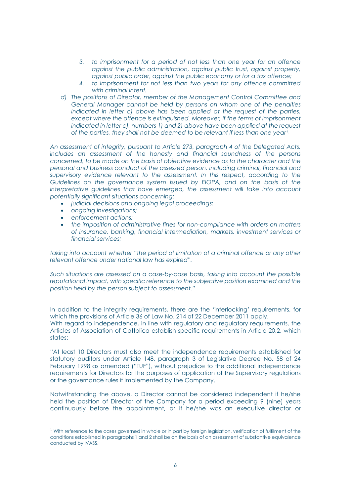- 3. to imprisonment for a period of not less than one year for an offence against the public administration, against public trust, against property, against public order, against the public economy or for a tax offence;
- 4. to imprisonment for not less than two years for any offence committed with criminal intent.
- d) The positions of Director, member of the Management Control Committee and General Manager cannot be held by persons on whom one of the penalties indicated in letter c) above has been applied at the request of the parties, except where the offence is extinguished. Moreover, if the terms of imprisonment indicated in letter c), numbers 1) and 2) above have been applied at the request of the parties, they shall not be deemed to be relevant if less than one year<sup>1.</sup>

An assessment of integrity, pursuant to Article 273, paragraph 4 of the Delegated Acts, includes an assessment of the honesty and financial soundness of the persons concerned, to be made on the basis of objective evidence as to the character and the personal and business conduct of the assessed person, including criminal, financial and supervisory evidence relevant to the assessment. In this respect, according to the Guidelines on the governance system issued by EIOPA, and on the basis of the interpretative guidelines that have emerged, the assessment will take into account potentially significant situations concerning:

- judicial decisions and ongoing legal proceedings;
- ongoing investigations:
- enforcement actions;
- the imposition of administrative fines for non-compliance with orders on matters of insurance, banking, financial intermediation, markets, investment services or financial services;

taking into account whether "the period of limitation of a criminal offence or any other relevant offence under national law has expired".

Such situations are assessed on a case-by-case basis, taking into account the possible reputational impact, with specific reference to the subjective position examined and the position held by the person subject to assessment."

In addition to the integrity requirements, there are the 'interlocking' requirements, for which the provisions of Article 36 of Law No. 214 of 22 December 2011 apply. With regard to independence, in line with regulatory and regulatory requirements, the Articles of Association of Cattolica establish specific requirements in Article 20.2, which states:

"At least 10 Directors must also meet the independence requirements established for statutory auditors under Article 148, paragraph 3 of Legislative Decree No. 58 of 24 February 1998 as amended ("TUF"), without prejudice to the additional independence requirements for Directors for the purposes of application of the Supervisory regulations or the governance rules if implemented by the Company.

Notwithstanding the above, a Director cannot be considered independent if he/she held the position of Director of the Company for a period exceeding 9 (nine) years continuously before the appointment, or if he/she was an executive director or

<sup>&</sup>lt;sup>1</sup> With reference to the cases governed in whole or in part by foreign legislation, verification of fulfilment of the conditions established in paragraphs 1 and 2 shall be on the basis of an assessment of substantive equivalence conducted by IVASS.